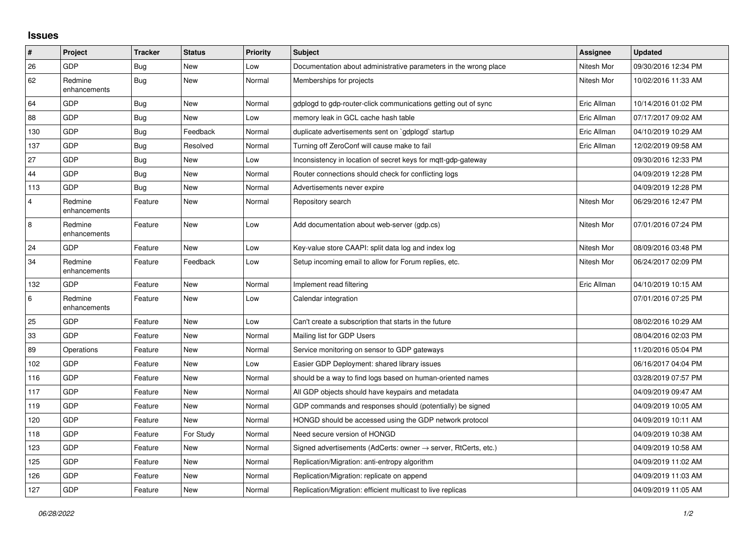## **Issues**

| $\vert$ #      | Project                 | <b>Tracker</b> | <b>Status</b> | <b>Priority</b> | <b>Subject</b>                                                   | Assignee    | <b>Updated</b>      |
|----------------|-------------------------|----------------|---------------|-----------------|------------------------------------------------------------------|-------------|---------------------|
| 26             | GDP                     | Bug            | New           | Low             | Documentation about administrative parameters in the wrong place | Nitesh Mor  | 09/30/2016 12:34 PM |
| 62             | Redmine<br>enhancements | <b>Bug</b>     | <b>New</b>    | Normal          | Memberships for projects                                         | Nitesh Mor  | 10/02/2016 11:33 AM |
| 64             | GDP                     | <b>Bug</b>     | New           | Normal          | gdplogd to gdp-router-click communications getting out of sync   | Eric Allman | 10/14/2016 01:02 PM |
| 88             | GDP                     | <b>Bug</b>     | <b>New</b>    | Low             | memory leak in GCL cache hash table                              | Eric Allman | 07/17/2017 09:02 AM |
| 130            | GDP                     | <b>Bug</b>     | Feedback      | Normal          | duplicate advertisements sent on `gdplogd` startup               | Eric Allman | 04/10/2019 10:29 AM |
| 137            | GDP                     | <b>Bug</b>     | Resolved      | Normal          | Turning off ZeroConf will cause make to fail                     | Eric Allman | 12/02/2019 09:58 AM |
| 27             | GDP                     | Bug            | New           | Low             | Inconsistency in location of secret keys for mgtt-gdp-gateway    |             | 09/30/2016 12:33 PM |
| 44             | GDP                     | <b>Bug</b>     | New           | Normal          | Router connections should check for conflicting logs             |             | 04/09/2019 12:28 PM |
| 113            | GDP                     | <b>Bug</b>     | <b>New</b>    | Normal          | Advertisements never expire                                      |             | 04/09/2019 12:28 PM |
| $\overline{4}$ | Redmine<br>enhancements | Feature        | <b>New</b>    | Normal          | Repository search                                                | Nitesh Mor  | 06/29/2016 12:47 PM |
| 8              | Redmine<br>enhancements | Feature        | New           | Low             | Add documentation about web-server (gdp.cs)                      | Nitesh Mor  | 07/01/2016 07:24 PM |
| 24             | GDP                     | Feature        | <b>New</b>    | Low             | Key-value store CAAPI: split data log and index log              | Nitesh Mor  | 08/09/2016 03:48 PM |
| 34             | Redmine<br>enhancements | Feature        | Feedback      | Low             | Setup incoming email to allow for Forum replies, etc.            | Nitesh Mor  | 06/24/2017 02:09 PM |
| 132            | GDP                     | Feature        | New           | Normal          | Implement read filtering                                         | Eric Allman | 04/10/2019 10:15 AM |
| $\,6\,$        | Redmine<br>enhancements | Feature        | New           | Low             | Calendar integration                                             |             | 07/01/2016 07:25 PM |
| 25             | GDP                     | Feature        | New           | Low             | Can't create a subscription that starts in the future            |             | 08/02/2016 10:29 AM |
| 33             | GDP                     | Feature        | <b>New</b>    | Normal          | Mailing list for GDP Users                                       |             | 08/04/2016 02:03 PM |
| 89             | Operations              | Feature        | New           | Normal          | Service monitoring on sensor to GDP gateways                     |             | 11/20/2016 05:04 PM |
| 102            | GDP                     | Feature        | New           | Low             | Easier GDP Deployment: shared library issues                     |             | 06/16/2017 04:04 PM |
| 116            | GDP                     | Feature        | <b>New</b>    | Normal          | should be a way to find logs based on human-oriented names       |             | 03/28/2019 07:57 PM |
| 117            | GDP                     | Feature        | New           | Normal          | All GDP objects should have keypairs and metadata                |             | 04/09/2019 09:47 AM |
| 119            | GDP                     | Feature        | <b>New</b>    | Normal          | GDP commands and responses should (potentially) be signed        |             | 04/09/2019 10:05 AM |
| 120            | GDP                     | Feature        | New           | Normal          | HONGD should be accessed using the GDP network protocol          |             | 04/09/2019 10:11 AM |
| 118            | GDP                     | Feature        | For Study     | Normal          | Need secure version of HONGD                                     |             | 04/09/2019 10:38 AM |
| 123            | GDP                     | Feature        | <b>New</b>    | Normal          | Signed advertisements (AdCerts: owner → server, RtCerts, etc.)   |             | 04/09/2019 10:58 AM |
| 125            | GDP                     | Feature        | New           | Normal          | Replication/Migration: anti-entropy algorithm                    |             | 04/09/2019 11:02 AM |
| 126            | GDP                     | Feature        | New           | Normal          | Replication/Migration: replicate on append                       |             | 04/09/2019 11:03 AM |
| 127            | GDP                     | Feature        | New           | Normal          | Replication/Migration: efficient multicast to live replicas      |             | 04/09/2019 11:05 AM |